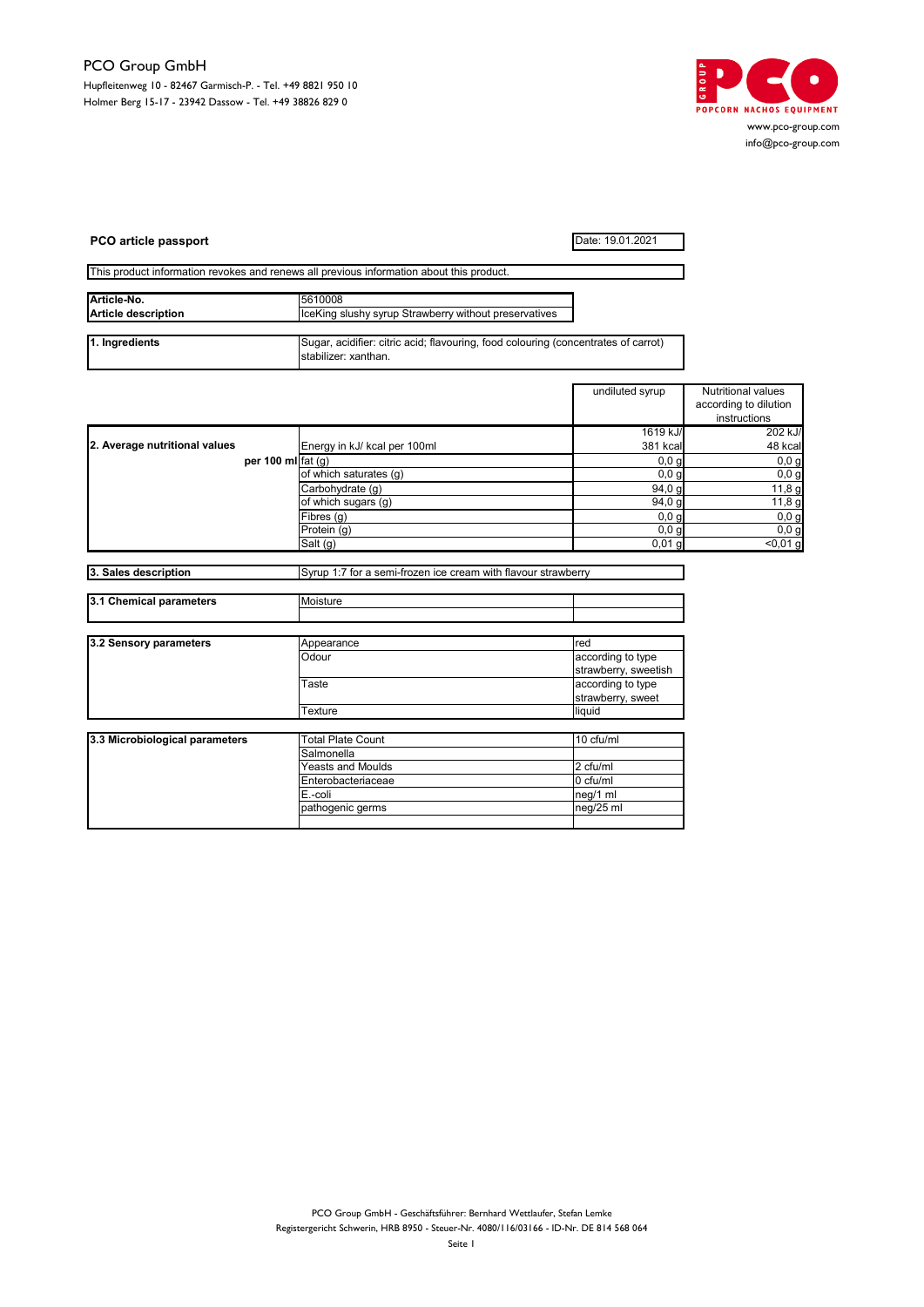

| PCO article passport                                   |                                                                                                            | Date: 19.01.2021                          |                                                             |
|--------------------------------------------------------|------------------------------------------------------------------------------------------------------------|-------------------------------------------|-------------------------------------------------------------|
|                                                        | This product information revokes and renews all previous information about this product.                   |                                           |                                                             |
| Article-No.                                            | 5610008                                                                                                    |                                           |                                                             |
| <b>Article description</b>                             | IceKing slushy syrup Strawberry without preservatives                                                      |                                           |                                                             |
| 1. Ingredients                                         | Sugar, acidifier: citric acid; flavouring, food colouring (concentrates of carrot)<br>stabilizer: xanthan. |                                           |                                                             |
|                                                        |                                                                                                            | undiluted syrup                           | Nutritional values<br>according to dilution<br>instructions |
|                                                        |                                                                                                            | 1619 kJ/                                  | 202 kJ/                                                     |
| 2. Average nutritional values<br>per 100 ml $f$ at (g) | Energy in kJ/ kcal per 100ml                                                                               | 381 kcal                                  | 48 kcal                                                     |
|                                                        |                                                                                                            | 0,0,9                                     | 0,0,9                                                       |
|                                                        | of which saturates (g)                                                                                     | 0,0,9                                     | 0,0,9                                                       |
|                                                        | Carbohydrate (g)<br>of which sugars (g)                                                                    | 94.0 <sub>q</sub><br>94,0 g               | 11,8g<br>11,8g                                              |
|                                                        | Fibres (g)                                                                                                 | 0,0,0                                     | 0,0,9                                                       |
|                                                        | Protein (g)                                                                                                | 0,0,q                                     | 0.0 <sub>q</sub>                                            |
|                                                        | Salt (g)                                                                                                   | $0,01$ g                                  | < 0,01 g                                                    |
|                                                        |                                                                                                            |                                           |                                                             |
| 3. Sales description                                   | Syrup 1:7 for a semi-frozen ice cream with flavour strawberry                                              |                                           |                                                             |
| 3.1 Chemical parameters                                | Moisture                                                                                                   |                                           |                                                             |
|                                                        |                                                                                                            |                                           |                                                             |
| 3.2 Sensory parameters                                 | Appearance                                                                                                 | red                                       |                                                             |
|                                                        | Odour                                                                                                      | according to type<br>strawberry, sweetish |                                                             |
|                                                        | Taste                                                                                                      | according to type<br>strawberry, sweet    |                                                             |
|                                                        | Texture                                                                                                    | liquid                                    |                                                             |
| 3.3 Microbiological parameters                         | <b>Total Plate Count</b>                                                                                   | 10 cfu/ml                                 |                                                             |
|                                                        | Salmonella                                                                                                 |                                           |                                                             |
|                                                        | Yeasts and Moulds                                                                                          | 2 cfu/ml                                  |                                                             |
|                                                        | Enterobacteriaceae                                                                                         | 0 cfu/ml                                  |                                                             |
|                                                        | E.-coli                                                                                                    | neg/1 ml                                  |                                                             |
|                                                        | pathogenic germs                                                                                           | neg/25 ml                                 |                                                             |